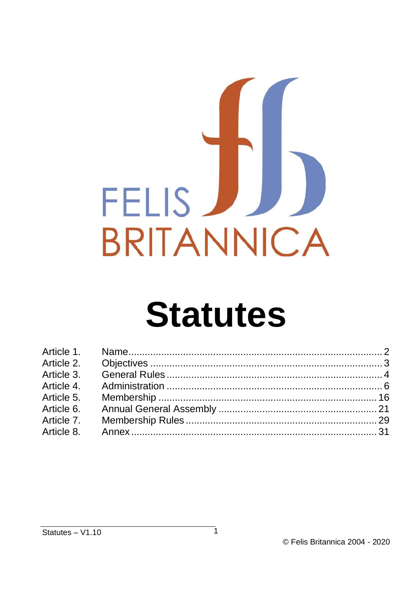

# **Statutes**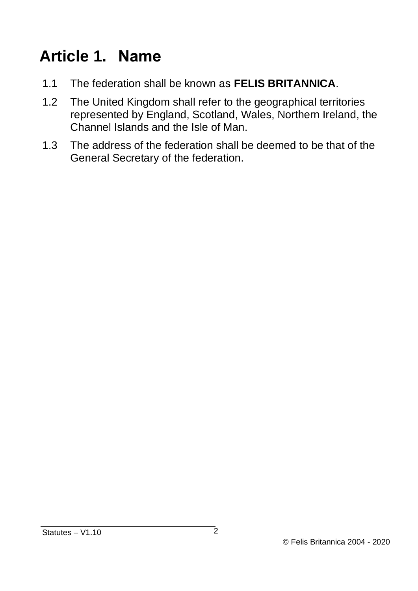### <span id="page-1-0"></span>**Article 1. Name**

- 1.1 The federation shall be known as **FELIS BRITANNICA**.
- 1.2 The United Kingdom shall refer to the geographical territories represented by England, Scotland, Wales, Northern Ireland, the Channel Islands and the Isle of Man.
- 1.3 The address of the federation shall be deemed to be that of the General Secretary of the federation.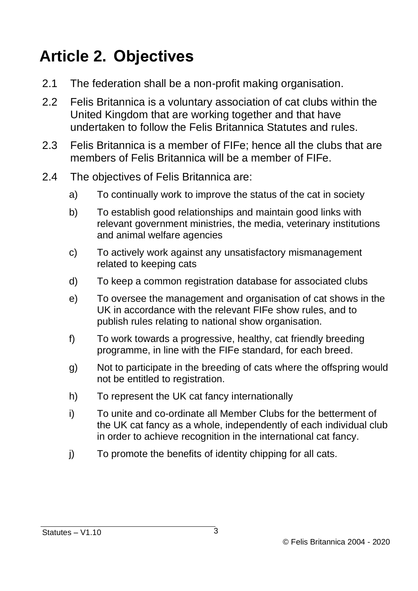#### <span id="page-2-0"></span>**Article 2. Objectives**

- 2.1 The federation shall be a non-profit making organisation.
- 2.2 Felis Britannica is a voluntary association of cat clubs within the United Kingdom that are working together and that have undertaken to follow the Felis Britannica Statutes and rules.
- 2.3 Felis Britannica is a member of FIFe; hence all the clubs that are members of Felis Britannica will be a member of FIFe.
- 2.4 The objectives of Felis Britannica are:
	- a) To continually work to improve the status of the cat in society
	- b) To establish good relationships and maintain good links with relevant government ministries, the media, veterinary institutions and animal welfare agencies
	- c) To actively work against any unsatisfactory mismanagement related to keeping cats
	- d) To keep a common registration database for associated clubs
	- e) To oversee the management and organisation of cat shows in the UK in accordance with the relevant FIFe show rules, and to publish rules relating to national show organisation.
	- f) To work towards a progressive, healthy, cat friendly breeding programme, in line with the FIFe standard, for each breed.
	- g) Not to participate in the breeding of cats where the offspring would not be entitled to registration.
	- h) To represent the UK cat fancy internationally
	- i) To unite and co-ordinate all Member Clubs for the betterment of the UK cat fancy as a whole, independently of each individual club in order to achieve recognition in the international cat fancy.
	- j) To promote the benefits of identity chipping for all cats.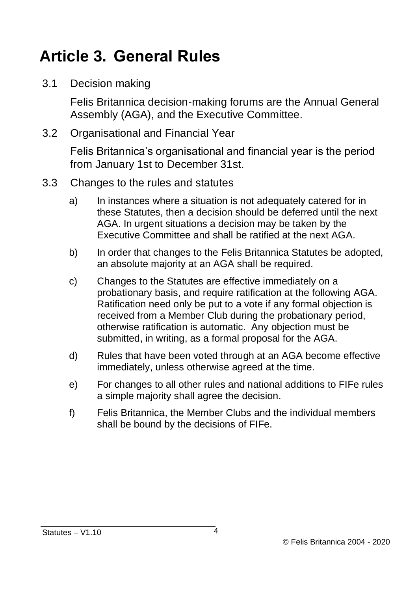#### <span id="page-3-0"></span>**Article 3. General Rules**

3.1 Decision making

Felis Britannica decision-making forums are the Annual General Assembly (AGA), and the Executive Committee.

3.2 Organisational and Financial Year

Felis Britannica's organisational and financial year is the period from January 1st to December 31st.

- 3.3 Changes to the rules and statutes
	- a) In instances where a situation is not adequately catered for in these Statutes, then a decision should be deferred until the next AGA. In urgent situations a decision may be taken by the Executive Committee and shall be ratified at the next AGA.
	- b) In order that changes to the Felis Britannica Statutes be adopted, an absolute majority at an AGA shall be required.
	- c) Changes to the Statutes are effective immediately on a probationary basis, and require ratification at the following AGA. Ratification need only be put to a vote if any formal objection is received from a Member Club during the probationary period, otherwise ratification is automatic. Any objection must be submitted, in writing, as a formal proposal for the AGA.
	- d) Rules that have been voted through at an AGA become effective immediately, unless otherwise agreed at the time.
	- e) For changes to all other rules and national additions to FIFe rules a simple majority shall agree the decision.
	- f) Felis Britannica, the Member Clubs and the individual members shall be bound by the decisions of FIFe.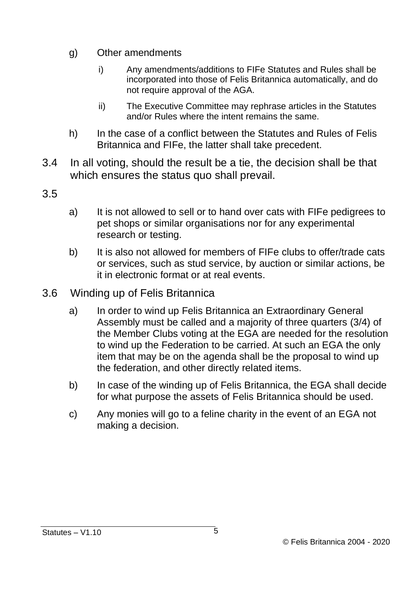- g) Other amendments
	- i) Any amendments/additions to FIFe Statutes and Rules shall be incorporated into those of Felis Britannica automatically, and do not require approval of the AGA.
	- ii) The Executive Committee may rephrase articles in the Statutes and/or Rules where the intent remains the same.
- h) In the case of a conflict between the Statutes and Rules of Felis Britannica and FIFe, the latter shall take precedent.
- 3.4 In all voting, should the result be a tie, the decision shall be that which ensures the status quo shall prevail.
- 3.5
- a) It is not allowed to sell or to hand over cats with FIFe pedigrees to pet shops or similar organisations nor for any experimental research or testing.
- b) It is also not allowed for members of FIFe clubs to offer/trade cats or services, such as stud service, by auction or similar actions, be it in electronic format or at real events.
- 3.6 Winding up of Felis Britannica
	- a) In order to wind up Felis Britannica an Extraordinary General Assembly must be called and a majority of three quarters (3/4) of the Member Clubs voting at the EGA are needed for the resolution to wind up the Federation to be carried. At such an EGA the only item that may be on the agenda shall be the proposal to wind up the federation, and other directly related items.
	- b) In case of the winding up of Felis Britannica, the EGA shall decide for what purpose the assets of Felis Britannica should be used.
	- c) Any monies will go to a feline charity in the event of an EGA not making a decision.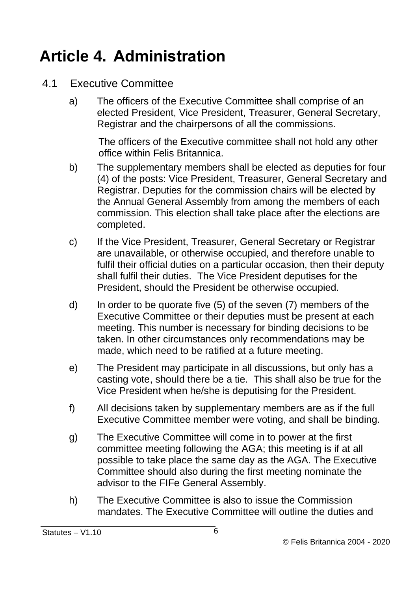#### <span id="page-5-0"></span>**Article 4. Administration**

- 4.1 Executive Committee
	- a) The officers of the Executive Committee shall comprise of an elected President, Vice President, Treasurer, General Secretary, Registrar and the chairpersons of all the commissions.

The officers of the Executive committee shall not hold any other office within Felis Britannica.

- b) The supplementary members shall be elected as deputies for four (4) of the posts: Vice President, Treasurer, General Secretary and Registrar. Deputies for the commission chairs will be elected by the Annual General Assembly from among the members of each commission. This election shall take place after the elections are completed.
- c) If the Vice President, Treasurer, General Secretary or Registrar are unavailable, or otherwise occupied, and therefore unable to fulfil their official duties on a particular occasion, then their deputy shall fulfil their duties. The Vice President deputises for the President, should the President be otherwise occupied.
- d) In order to be quorate five (5) of the seven (7) members of the Executive Committee or their deputies must be present at each meeting. This number is necessary for binding decisions to be taken. In other circumstances only recommendations may be made, which need to be ratified at a future meeting.
- e) The President may participate in all discussions, but only has a casting vote, should there be a tie. This shall also be true for the Vice President when he/she is deputising for the President.
- f) All decisions taken by supplementary members are as if the full Executive Committee member were voting, and shall be binding.
- g) The Executive Committee will come in to power at the first committee meeting following the AGA; this meeting is if at all possible to take place the same day as the AGA. The Executive Committee should also during the first meeting nominate the advisor to the FIFe General Assembly.
- h) The Executive Committee is also to issue the Commission mandates. The Executive Committee will outline the duties and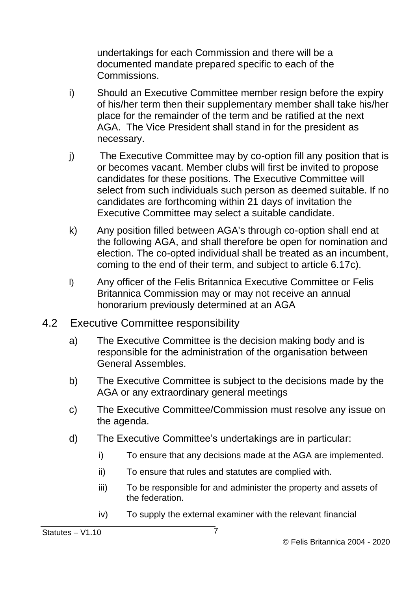undertakings for each Commission and there will be a documented mandate prepared specific to each of the **Commissions** 

- i) Should an Executive Committee member resign before the expiry of his/her term then their supplementary member shall take his/her place for the remainder of the term and be ratified at the next AGA. The Vice President shall stand in for the president as necessary.
- j) The Executive Committee may by co-option fill any position that is or becomes vacant. Member clubs will first be invited to propose candidates for these positions. The Executive Committee will select from such individuals such person as deemed suitable. If no candidates are forthcoming within 21 days of invitation the Executive Committee may select a suitable candidate.
- k) Any position filled between AGA's through co-option shall end at the following AGA, and shall therefore be open for nomination and election. The co-opted individual shall be treated as an incumbent, coming to the end of their term, and subject to article 6.17c).
- l) Any officer of the Felis Britannica Executive Committee or Felis Britannica Commission may or may not receive an annual honorarium previously determined at an AGA
- 4.2 Executive Committee responsibility
	- a) The Executive Committee is the decision making body and is responsible for the administration of the organisation between General Assembles.
	- b) The Executive Committee is subject to the decisions made by the AGA or any extraordinary general meetings
	- c) The Executive Committee/Commission must resolve any issue on the agenda.
	- d) The Executive Committee's undertakings are in particular:
		- i) To ensure that any decisions made at the AGA are implemented.
		- ii) To ensure that rules and statutes are complied with.
		- iii) To be responsible for and administer the property and assets of the federation.
		- iv) To supply the external examiner with the relevant financial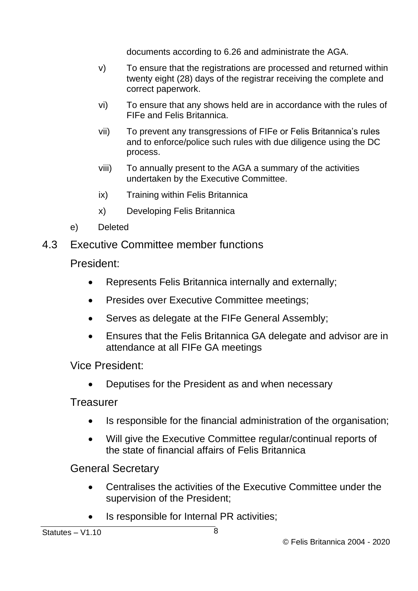documents according to 6.26 and administrate the AGA.

- v) To ensure that the registrations are processed and returned within twenty eight (28) days of the registrar receiving the complete and correct paperwork.
- vi) To ensure that any shows held are in accordance with the rules of FIFe and Felis Britannica.
- vii) To prevent any transgressions of FIFe or Felis Britannica's rules and to enforce/police such rules with due diligence using the DC process.
- viii) To annually present to the AGA a summary of the activities undertaken by the Executive Committee.
- ix) Training within Felis Britannica
- x) Developing Felis Britannica
- e) Deleted
- 4.3 Executive Committee member functions

President:

- Represents Felis Britannica internally and externally;
- Presides over Executive Committee meetings;
- Serves as delegate at the FIFe General Assembly;
- Ensures that the Felis Britannica GA delegate and advisor are in attendance at all FIFe GA meetings

Vice President:

• Deputises for the President as and when necessary

Treasurer

- Is responsible for the financial administration of the organisation;
- Will give the Executive Committee regular/continual reports of the state of financial affairs of Felis Britannica

General Secretary

- Centralises the activities of the Executive Committee under the supervision of the President;
- Is responsible for Internal PR activities;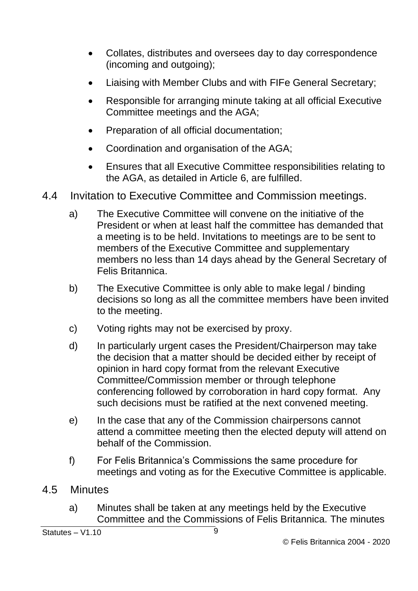- Collates, distributes and oversees day to day correspondence (incoming and outgoing):
- Liaising with Member Clubs and with FIFe General Secretary;
- Responsible for arranging minute taking at all official Executive Committee meetings and the AGA;
- Preparation of all official documentation;
- Coordination and organisation of the AGA;
- Ensures that all Executive Committee responsibilities relating to the AGA, as detailed in Article 6, are fulfilled.
- 4.4 Invitation to Executive Committee and Commission meetings.
	- a) The Executive Committee will convene on the initiative of the President or when at least half the committee has demanded that a meeting is to be held. Invitations to meetings are to be sent to members of the Executive Committee and supplementary members no less than 14 days ahead by the General Secretary of Felis Britannica.
	- b) The Executive Committee is only able to make legal / binding decisions so long as all the committee members have been invited to the meeting.
	- c) Voting rights may not be exercised by proxy.
	- d) In particularly urgent cases the President/Chairperson may take the decision that a matter should be decided either by receipt of opinion in hard copy format from the relevant Executive Committee/Commission member or through telephone conferencing followed by corroboration in hard copy format. Any such decisions must be ratified at the next convened meeting.
	- e) In the case that any of the Commission chairpersons cannot attend a committee meeting then the elected deputy will attend on behalf of the Commission.
	- f) For Felis Britannica's Commissions the same procedure for meetings and voting as for the Executive Committee is applicable.
- 4.5 Minutes
	- a) Minutes shall be taken at any meetings held by the Executive Committee and the Commissions of Felis Britannica. The minutes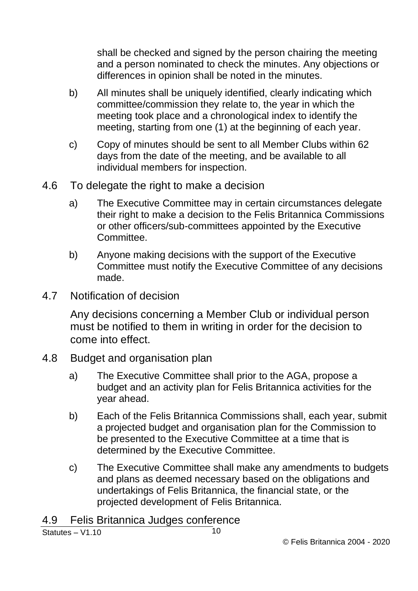shall be checked and signed by the person chairing the meeting and a person nominated to check the minutes. Any objections or differences in opinion shall be noted in the minutes.

- b) All minutes shall be uniquely identified, clearly indicating which committee/commission they relate to, the year in which the meeting took place and a chronological index to identify the meeting, starting from one (1) at the beginning of each year.
- c) Copy of minutes should be sent to all Member Clubs within 62 days from the date of the meeting, and be available to all individual members for inspection.
- 4.6 To delegate the right to make a decision
	- a) The Executive Committee may in certain circumstances delegate their right to make a decision to the Felis Britannica Commissions or other officers/sub-committees appointed by the Executive Committee.
	- b) Anyone making decisions with the support of the Executive Committee must notify the Executive Committee of any decisions made.
- 4.7 Notification of decision

Any decisions concerning a Member Club or individual person must be notified to them in writing in order for the decision to come into effect.

- 4.8 Budget and organisation plan
	- a) The Executive Committee shall prior to the AGA, propose a budget and an activity plan for Felis Britannica activities for the year ahead.
	- b) Each of the Felis Britannica Commissions shall, each year, submit a projected budget and organisation plan for the Commission to be presented to the Executive Committee at a time that is determined by the Executive Committee.
	- c) The Executive Committee shall make any amendments to budgets and plans as deemed necessary based on the obligations and undertakings of Felis Britannica, the financial state, or the projected development of Felis Britannica.

4.9 Felis Britannica Judges conference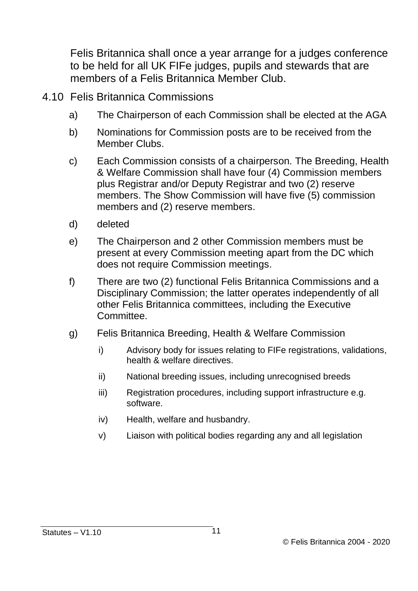Felis Britannica shall once a year arrange for a judges conference to be held for all UK FIFe judges, pupils and stewards that are members of a Felis Britannica Member Club.

- 4.10 Felis Britannica Commissions
	- a) The Chairperson of each Commission shall be elected at the AGA
	- b) Nominations for Commission posts are to be received from the Member Clubs.
	- c) Each Commission consists of a chairperson. The Breeding, Health & Welfare Commission shall have four (4) Commission members plus Registrar and/or Deputy Registrar and two (2) reserve members. The Show Commission will have five (5) commission members and (2) reserve members.
	- d) deleted
	- e) The Chairperson and 2 other Commission members must be present at every Commission meeting apart from the DC which does not require Commission meetings.
	- f) There are two (2) functional Felis Britannica Commissions and a Disciplinary Commission; the latter operates independently of all other Felis Britannica committees, including the Executive Committee.
	- g) Felis Britannica Breeding, Health & Welfare Commission
		- i) Advisory body for issues relating to FIFe registrations, validations, health & welfare directives.
		- ii) National breeding issues, including unrecognised breeds
		- iii) Registration procedures, including support infrastructure e.g. software.
		- iv) Health, welfare and husbandry.
		- v) Liaison with political bodies regarding any and all legislation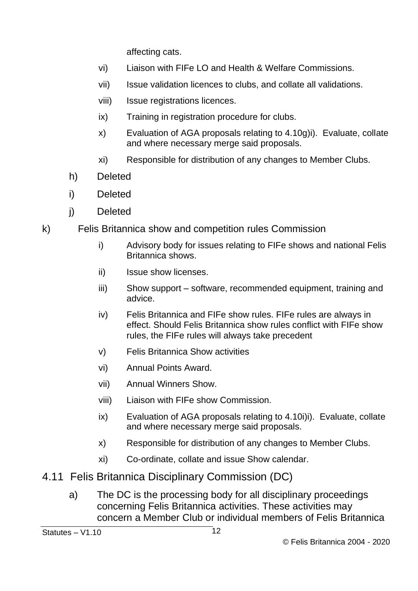affecting cats.

- vi) Liaison with FIFe LO and Health & Welfare Commissions.
- vii) Issue validation licences to clubs, and collate all validations.
- viii) Issue registrations licences.
- ix) Training in registration procedure for clubs.
- x) Evaluation of AGA proposals relating to 4.10g)i). Evaluate, collate and where necessary merge said proposals.
- xi) Responsible for distribution of any changes to Member Clubs.
- h) Deleted
- i) Deleted
- j) Deleted
- k) Felis Britannica show and competition rules Commission
	- i) Advisory body for issues relating to FIFe shows and national Felis Britannica shows.
	- ii) Issue show licenses.
	- iii) Show support software, recommended equipment, training and advice.
	- iv) Felis Britannica and FIFe show rules. FIFe rules are always in effect. Should Felis Britannica show rules conflict with FIFe show rules, the FIFe rules will always take precedent
	- v) Felis Britannica Show activities
	- vi) Annual Points Award.
	- vii) Annual Winners Show.
	- viii) Liaison with FIFe show Commission.
	- ix) Evaluation of AGA proposals relating to 4.10i)i). Evaluate, collate and where necessary merge said proposals.
	- x) Responsible for distribution of any changes to Member Clubs.
	- xi) Co-ordinate, collate and issue Show calendar.
- 4.11 Felis Britannica Disciplinary Commission (DC)
	- a) The DC is the processing body for all disciplinary proceedings concerning Felis Britannica activities. These activities may concern a Member Club or individual members of Felis Britannica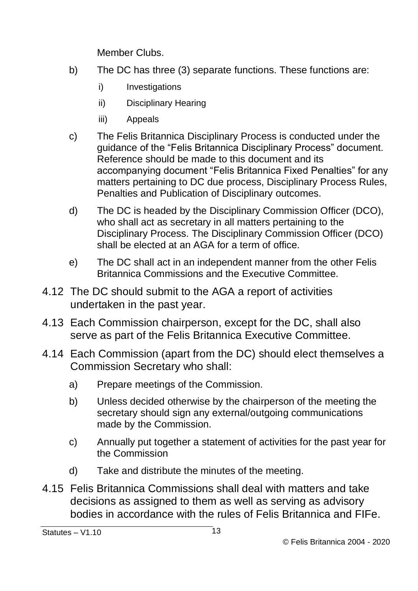Member Clubs.

- b) The DC has three (3) separate functions. These functions are:
	- i) Investigations
	- ii) Disciplinary Hearing
	- iii) Appeals
- c) The Felis Britannica Disciplinary Process is conducted under the guidance of the "Felis Britannica Disciplinary Process" document. Reference should be made to this document and its accompanying document "Felis Britannica Fixed Penalties" for any matters pertaining to DC due process, Disciplinary Process Rules, Penalties and Publication of Disciplinary outcomes.
- d) The DC is headed by the Disciplinary Commission Officer (DCO), who shall act as secretary in all matters pertaining to the Disciplinary Process. The Disciplinary Commission Officer (DCO) shall be elected at an AGA for a term of office.
- e) The DC shall act in an independent manner from the other Felis Britannica Commissions and the Executive Committee.
- 4.12 The DC should submit to the AGA a report of activities undertaken in the past year.
- 4.13 Each Commission chairperson, except for the DC, shall also serve as part of the Felis Britannica Executive Committee.
- 4.14 Each Commission (apart from the DC) should elect themselves a Commission Secretary who shall:
	- a) Prepare meetings of the Commission.
	- b) Unless decided otherwise by the chairperson of the meeting the secretary should sign any external/outgoing communications made by the Commission.
	- c) Annually put together a statement of activities for the past year for the Commission
	- d) Take and distribute the minutes of the meeting.
- 4.15 Felis Britannica Commissions shall deal with matters and take decisions as assigned to them as well as serving as advisory bodies in accordance with the rules of Felis Britannica and FIFe.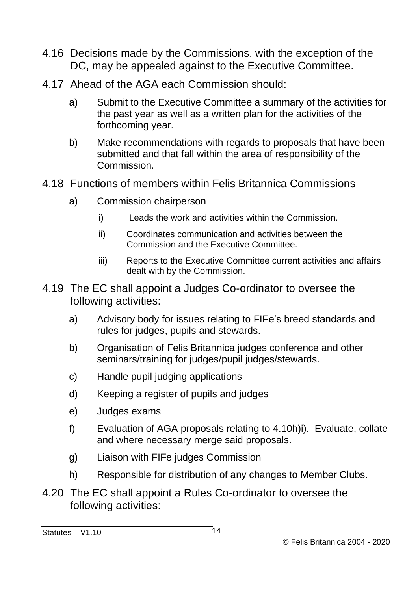- 4.16 Decisions made by the Commissions, with the exception of the DC, may be appealed against to the Executive Committee.
- 4.17 Ahead of the AGA each Commission should:
	- a) Submit to the Executive Committee a summary of the activities for the past year as well as a written plan for the activities of the forthcoming year.
	- b) Make recommendations with regards to proposals that have been submitted and that fall within the area of responsibility of the **Commission**
- 4.18 Functions of members within Felis Britannica Commissions
	- a) Commission chairperson
		- i) Leads the work and activities within the Commission.
		- ii) Coordinates communication and activities between the Commission and the Executive Committee.
		- iii) Reports to the Executive Committee current activities and affairs dealt with by the Commission.
- 4.19 The EC shall appoint a Judges Co-ordinator to oversee the following activities:
	- a) Advisory body for issues relating to FIFe's breed standards and rules for judges, pupils and stewards.
	- b) Organisation of Felis Britannica judges conference and other seminars/training for judges/pupil judges/stewards.
	- c) Handle pupil judging applications
	- d) Keeping a register of pupils and judges
	- e) Judges exams
	- f) Evaluation of AGA proposals relating to 4.10h)i). Evaluate, collate and where necessary merge said proposals.
	- g) Liaison with FIFe judges Commission
	- h) Responsible for distribution of any changes to Member Clubs.
- 4.20 The EC shall appoint a Rules Co-ordinator to oversee the following activities:

Statutes – V1.10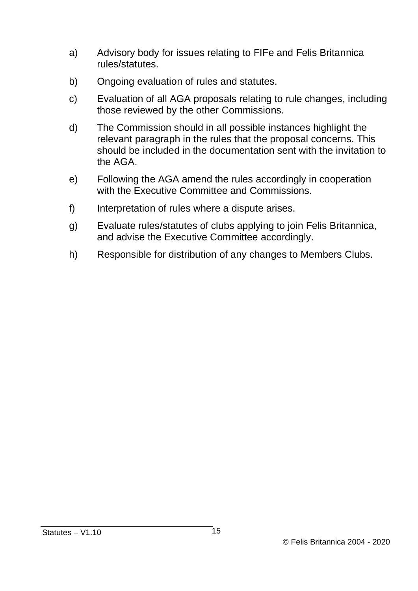- a) Advisory body for issues relating to FIFe and Felis Britannica rules/statutes.
- b) Ongoing evaluation of rules and statutes.
- c) Evaluation of all AGA proposals relating to rule changes, including those reviewed by the other Commissions.
- d) The Commission should in all possible instances highlight the relevant paragraph in the rules that the proposal concerns. This should be included in the documentation sent with the invitation to the AGA.
- e) Following the AGA amend the rules accordingly in cooperation with the Executive Committee and Commissions.
- f) Interpretation of rules where a dispute arises.
- g) Evaluate rules/statutes of clubs applying to join Felis Britannica, and advise the Executive Committee accordingly.
- h) Responsible for distribution of any changes to Members Clubs.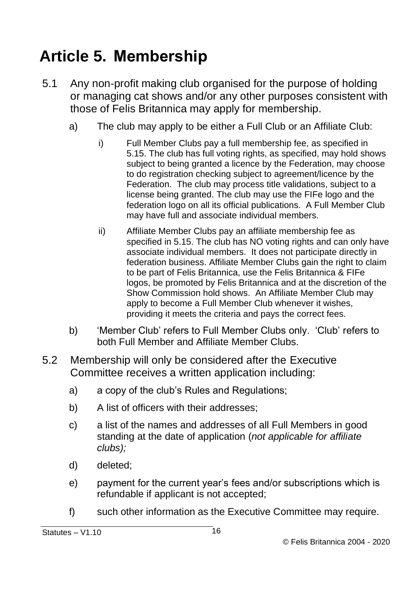## <span id="page-15-0"></span>**Article 5. Membership**

- 5.1 Any non-profit making club organised for the purpose of holding or managing cat shows and/or any other purposes consistent with those of Felis Britannica may apply for membership.
	- a) The club may apply to be either a Full Club or an Affiliate Club:
		- i) Full Member Clubs pay a full membership fee, as specified in 5.15. The club has full voting rights, as specified, may hold shows subject to being granted a licence by the Federation, may choose to do registration checking subject to agreement/licence by the Federation. The club may process title validations, subject to a license being granted. The club may use the FIFe logo and the federation logo on all its official publications. A Full Member Club may have full and associate individual members.
		- ii) Affiliate Member Clubs pay an affiliate membership fee as specified in 5.15. The club has NO voting rights and can only have associate individual members. It does not participate directly in federation business. Affiliate Member Clubs gain the right to claim to be part of Felis Britannica, use the Felis Britannica & FIFe logos, be promoted by Felis Britannica and at the discretion of the Show Commission hold shows. An Affiliate Member Club may apply to become a Full Member Club whenever it wishes, providing it meets the criteria and pays the correct fees.
	- b) 'Member Club' refers to Full Member Clubs only. 'Club' refers to both Full Member and Affiliate Member Clubs.
- 5.2 Membership will only be considered after the Executive Committee receives a written application including:
	- a) a copy of the club's Rules and Regulations;
	- b) A list of officers with their addresses;
	- c) a list of the names and addresses of all Full Members in good standing at the date of application (*not applicable for affiliate clubs);*
	- d) deleted;
	- e) payment for the current year's fees and/or subscriptions which is refundable if applicant is not accepted;
	- f) such other information as the Executive Committee may require.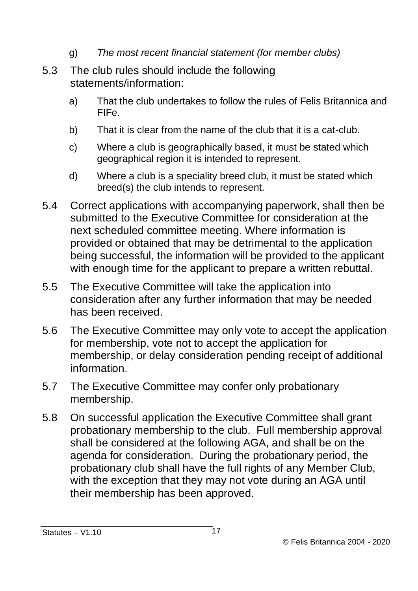- g) *The most recent financial statement (for member clubs)*
- 5.3 The club rules should include the following statements/information:
	- a) That the club undertakes to follow the rules of Felis Britannica and FIFe.
	- b) That it is clear from the name of the club that it is a cat-club.
	- c) Where a club is geographically based, it must be stated which geographical region it is intended to represent.
	- d) Where a club is a speciality breed club, it must be stated which breed(s) the club intends to represent.
- 5.4 Correct applications with accompanying paperwork, shall then be submitted to the Executive Committee for consideration at the next scheduled committee meeting. Where information is provided or obtained that may be detrimental to the application being successful, the information will be provided to the applicant with enough time for the applicant to prepare a written rebuttal.
- 5.5 The Executive Committee will take the application into consideration after any further information that may be needed has been received.
- 5.6 The Executive Committee may only vote to accept the application for membership, vote not to accept the application for membership, or delay consideration pending receipt of additional information.
- 5.7 The Executive Committee may confer only probationary membership.
- 5.8 On successful application the Executive Committee shall grant probationary membership to the club. Full membership approval shall be considered at the following AGA, and shall be on the agenda for consideration. During the probationary period, the probationary club shall have the full rights of any Member Club, with the exception that they may not vote during an AGA until their membership has been approved.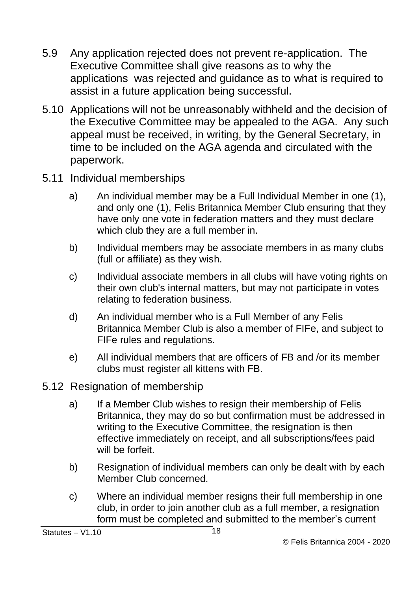- 5.9 Any application rejected does not prevent re-application. The Executive Committee shall give reasons as to why the applications was rejected and guidance as to what is required to assist in a future application being successful.
- 5.10 Applications will not be unreasonably withheld and the decision of the Executive Committee may be appealed to the AGA. Any such appeal must be received, in writing, by the General Secretary, in time to be included on the AGA agenda and circulated with the paperwork.
- 5.11 Individual memberships
	- a) An individual member may be a Full Individual Member in one (1), and only one (1), Felis Britannica Member Club ensuring that they have only one vote in federation matters and they must declare which club they are a full member in.
	- b) Individual members may be associate members in as many clubs (full or affiliate) as they wish.
	- c) Individual associate members in all clubs will have voting rights on their own club's internal matters, but may not participate in votes relating to federation business.
	- d) An individual member who is a Full Member of any Felis Britannica Member Club is also a member of FIFe, and subject to FIFe rules and regulations.
	- e) All individual members that are officers of FB and /or its member clubs must register all kittens with FB.
- 5.12 Resignation of membership
	- a) If a Member Club wishes to resign their membership of Felis Britannica, they may do so but confirmation must be addressed in writing to the Executive Committee, the resignation is then effective immediately on receipt, and all subscriptions/fees paid will be forfeit
	- b) Resignation of individual members can only be dealt with by each Member Club concerned.
	- c) Where an individual member resigns their full membership in one club, in order to join another club as a full member, a resignation form must be completed and submitted to the member's current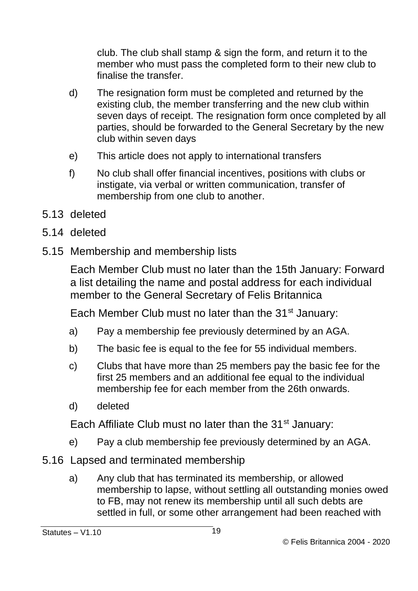club. The club shall stamp & sign the form, and return it to the member who must pass the completed form to their new club to finalise the transfer.

- d) The resignation form must be completed and returned by the existing club, the member transferring and the new club within seven days of receipt. The resignation form once completed by all parties, should be forwarded to the General Secretary by the new club within seven days
- e) This article does not apply to international transfers
- f) No club shall offer financial incentives, positions with clubs or instigate, via verbal or written communication, transfer of membership from one club to another.
- 5.13 deleted
- 5.14 deleted
- 5.15 Membership and membership lists

Each Member Club must no later than the 15th January: Forward a list detailing the name and postal address for each individual member to the General Secretary of Felis Britannica

Each Member Club must no later than the  $31<sup>st</sup>$  January:

- a) Pay a membership fee previously determined by an AGA.
- b) The basic fee is equal to the fee for 55 individual members.
- c) Clubs that have more than 25 members pay the basic fee for the first 25 members and an additional fee equal to the individual membership fee for each member from the 26th onwards.
- d) deleted

Each Affiliate Club must no later than the 31<sup>st</sup> January:

- e) Pay a club membership fee previously determined by an AGA.
- 5.16 Lapsed and terminated membership
	- a) Any club that has terminated its membership, or allowed membership to lapse, without settling all outstanding monies owed to FB, may not renew its membership until all such debts are settled in full, or some other arrangement had been reached with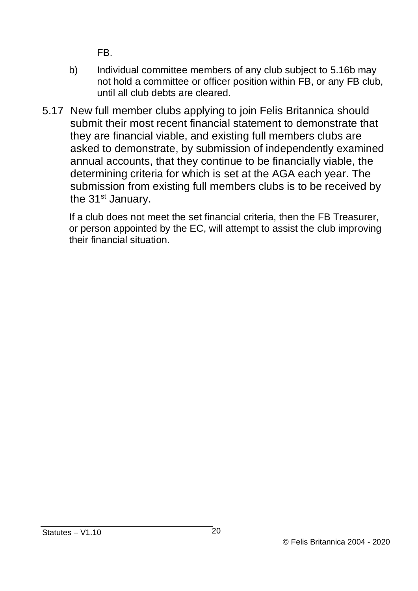FB.

- b) Individual committee members of any club subject to 5.16b may not hold a committee or officer position within FB, or any FB club, until all club debts are cleared.
- 5.17 New full member clubs applying to join Felis Britannica should submit their most recent financial statement to demonstrate that they are financial viable, and existing full members clubs are asked to demonstrate, by submission of independently examined annual accounts, that they continue to be financially viable, the determining criteria for which is set at the AGA each year. The submission from existing full members clubs is to be received by the 31<sup>st</sup> January.

If a club does not meet the set financial criteria, then the FB Treasurer, or person appointed by the EC, will attempt to assist the club improving their financial situation.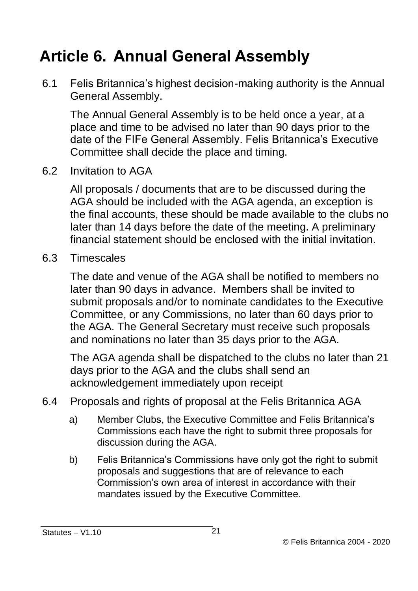#### <span id="page-20-0"></span>**Article 6. Annual General Assembly**

6.1 Felis Britannica's highest decision-making authority is the Annual General Assembly.

The Annual General Assembly is to be held once a year, at a place and time to be advised no later than 90 days prior to the date of the FIFe General Assembly. Felis Britannica's Executive Committee shall decide the place and timing.

6.2 Invitation to AGA

All proposals / documents that are to be discussed during the AGA should be included with the AGA agenda, an exception is the final accounts, these should be made available to the clubs no later than 14 days before the date of the meeting. A preliminary financial statement should be enclosed with the initial invitation.

6.3 Timescales

The date and venue of the AGA shall be notified to members no later than 90 days in advance. Members shall be invited to submit proposals and/or to nominate candidates to the Executive Committee, or any Commissions, no later than 60 days prior to the AGA. The General Secretary must receive such proposals and nominations no later than 35 days prior to the AGA.

The AGA agenda shall be dispatched to the clubs no later than 21 days prior to the AGA and the clubs shall send an acknowledgement immediately upon receipt

- 6.4 Proposals and rights of proposal at the Felis Britannica AGA
	- a) Member Clubs, the Executive Committee and Felis Britannica's Commissions each have the right to submit three proposals for discussion during the AGA.
	- b) Felis Britannica's Commissions have only got the right to submit proposals and suggestions that are of relevance to each Commission's own area of interest in accordance with their mandates issued by the Executive Committee.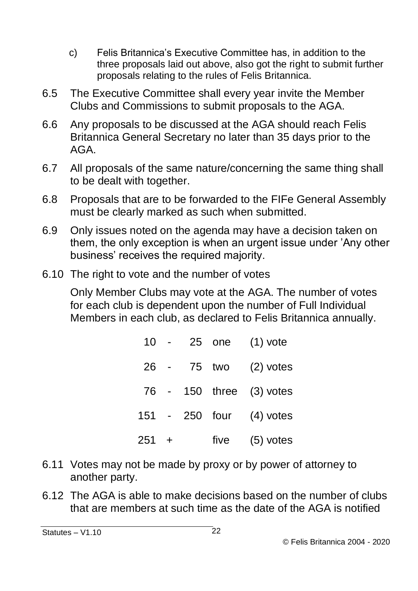- c) Felis Britannica's Executive Committee has, in addition to the three proposals laid out above, also got the right to submit further proposals relating to the rules of Felis Britannica.
- 6.5 The Executive Committee shall every year invite the Member Clubs and Commissions to submit proposals to the AGA.
- 6.6 Any proposals to be discussed at the AGA should reach Felis Britannica General Secretary no later than 35 days prior to the AGA.
- 6.7 All proposals of the same nature/concerning the same thing shall to be dealt with together.
- 6.8 Proposals that are to be forwarded to the FIFe General Assembly must be clearly marked as such when submitted.
- 6.9 Only issues noted on the agenda may have a decision taken on them, the only exception is when an urgent issue under 'Any other business' receives the required majority.
- 6.10 The right to vote and the number of votes

Only Member Clubs may vote at the AGA. The number of votes for each club is dependent upon the number of Full Individual Members in each club, as declared to Felis Britannica annually.

| 10    |  |             | 25 one (1) vote          |
|-------|--|-------------|--------------------------|
|       |  | 26 - 75 two | $(2)$ votes              |
|       |  |             | 76 - 150 three (3) votes |
|       |  |             | 151 - 250 four (4) votes |
| 251 + |  |             | five $(5)$ votes         |

- 6.11 Votes may not be made by proxy or by power of attorney to another party.
- 6.12 The AGA is able to make decisions based on the number of clubs that are members at such time as the date of the AGA is notified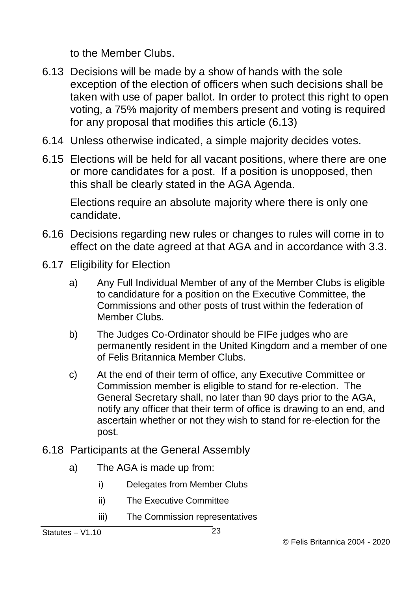to the Member Clubs.

- 6.13 Decisions will be made by a show of hands with the sole exception of the election of officers when such decisions shall be taken with use of paper ballot. In order to protect this right to open voting, a 75% majority of members present and voting is required for any proposal that modifies this article (6.13)
- 6.14 Unless otherwise indicated, a simple majority decides votes.
- 6.15 Elections will be held for all vacant positions, where there are one or more candidates for a post. If a position is unopposed, then this shall be clearly stated in the AGA Agenda.

Elections require an absolute majority where there is only one candidate.

- 6.16 Decisions regarding new rules or changes to rules will come in to effect on the date agreed at that AGA and in accordance with 3.3.
- 6.17 Eligibility for Election
	- a) Any Full Individual Member of any of the Member Clubs is eligible to candidature for a position on the Executive Committee, the Commissions and other posts of trust within the federation of Member Clubs.
	- b) The Judges Co-Ordinator should be FIFe judges who are permanently resident in the United Kingdom and a member of one of Felis Britannica Member Clubs.
	- c) At the end of their term of office, any Executive Committee or Commission member is eligible to stand for re-election. The General Secretary shall, no later than 90 days prior to the AGA, notify any officer that their term of office is drawing to an end, and ascertain whether or not they wish to stand for re-election for the post.
- 6.18 Participants at the General Assembly
	- a) The AGA is made up from:
		- i) Delegates from Member Clubs
		- ii) The Executive Committee
		- iii) The Commission representatives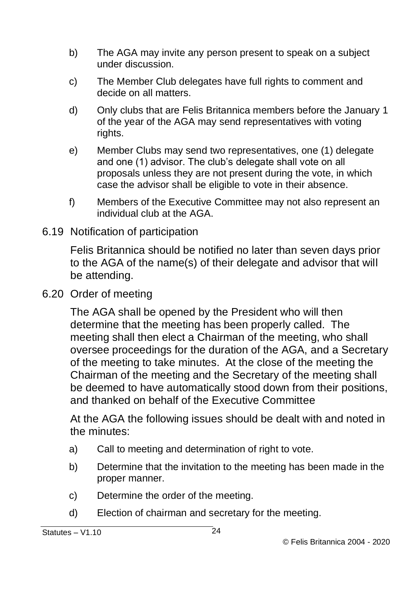- b) The AGA may invite any person present to speak on a subject under discussion.
- c) The Member Club delegates have full rights to comment and decide on all matters.
- d) Only clubs that are Felis Britannica members before the January 1 of the year of the AGA may send representatives with voting rights.
- e) Member Clubs may send two representatives, one (1) delegate and one (1) advisor. The club's delegate shall vote on all proposals unless they are not present during the vote, in which case the advisor shall be eligible to vote in their absence.
- f) Members of the Executive Committee may not also represent an individual club at the AGA.
- 6.19 Notification of participation

Felis Britannica should be notified no later than seven days prior to the AGA of the name(s) of their delegate and advisor that will be attending.

6.20 Order of meeting

The AGA shall be opened by the President who will then determine that the meeting has been properly called. The meeting shall then elect a Chairman of the meeting, who shall oversee proceedings for the duration of the AGA, and a Secretary of the meeting to take minutes. At the close of the meeting the Chairman of the meeting and the Secretary of the meeting shall be deemed to have automatically stood down from their positions, and thanked on behalf of the Executive Committee

At the AGA the following issues should be dealt with and noted in the minutes:

- a) Call to meeting and determination of right to vote.
- b) Determine that the invitation to the meeting has been made in the proper manner.
- c) Determine the order of the meeting.
- d) Election of chairman and secretary for the meeting.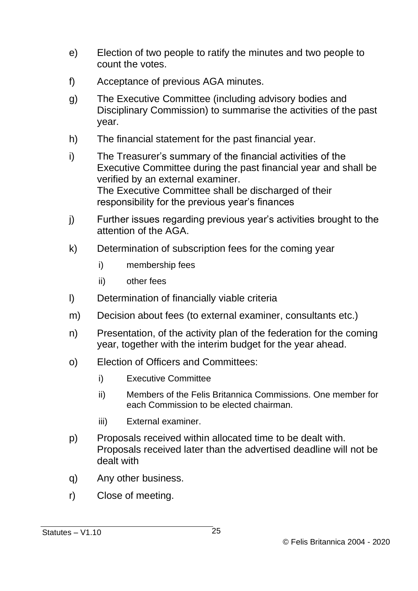- e) Election of two people to ratify the minutes and two people to count the votes.
- f) Acceptance of previous AGA minutes.
- g) The Executive Committee (including advisory bodies and Disciplinary Commission) to summarise the activities of the past year.
- h) The financial statement for the past financial year.
- i) The Treasurer's summary of the financial activities of the Executive Committee during the past financial year and shall be verified by an external examiner. The Executive Committee shall be discharged of their responsibility for the previous year's finances
- j) Further issues regarding previous year's activities brought to the attention of the AGA.
- k) Determination of subscription fees for the coming year
	- i) membership fees
	- ii) other fees
- l) Determination of financially viable criteria
- m) Decision about fees (to external examiner, consultants etc.)
- n) Presentation, of the activity plan of the federation for the coming year, together with the interim budget for the year ahead.
- o) Election of Officers and Committees:
	- i) Executive Committee
	- ii) Members of the Felis Britannica Commissions. One member for each Commission to be elected chairman.
	- iii) External examiner.
- p) Proposals received within allocated time to be dealt with. Proposals received later than the advertised deadline will not be dealt with
- q) Any other business.
- r) Close of meeting.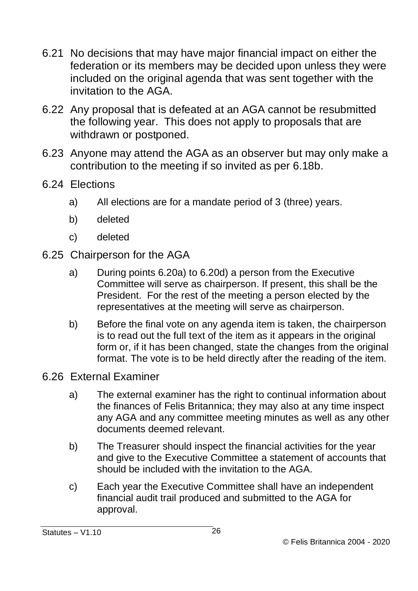- 6.21 No decisions that may have major financial impact on either the federation or its members may be decided upon unless they were included on the original agenda that was sent together with the invitation to the AGA.
- 6.22 Any proposal that is defeated at an AGA cannot be resubmitted the following year. This does not apply to proposals that are withdrawn or postponed.
- 6.23 Anyone may attend the AGA as an observer but may only make a contribution to the meeting if so invited as per 6.18b.
- 6.24 Elections
	- a) All elections are for a mandate period of 3 (three) years.
	- b) deleted
	- c) deleted
- 6.25 Chairperson for the AGA
	- a) During points 6.20a) to 6.20d) a person from the Executive Committee will serve as chairperson. If present, this shall be the President. For the rest of the meeting a person elected by the representatives at the meeting will serve as chairperson.
	- b) Before the final vote on any agenda item is taken, the chairperson is to read out the full text of the item as it appears in the original form or, if it has been changed, state the changes from the original format. The vote is to be held directly after the reading of the item.
- 6.26 External Examiner
	- a) The external examiner has the right to continual information about the finances of Felis Britannica; they may also at any time inspect any AGA and any committee meeting minutes as well as any other documents deemed relevant.
	- b) The Treasurer should inspect the financial activities for the year and give to the Executive Committee a statement of accounts that should be included with the invitation to the AGA.
	- c) Each year the Executive Committee shall have an independent financial audit trail produced and submitted to the AGA for approval.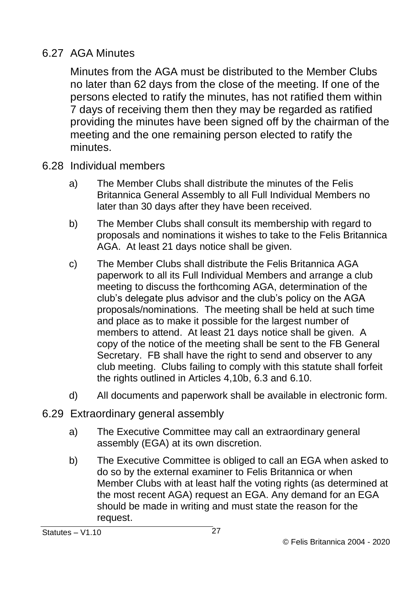#### 6.27 AGA Minutes

Minutes from the AGA must be distributed to the Member Clubs no later than 62 days from the close of the meeting. If one of the persons elected to ratify the minutes, has not ratified them within 7 days of receiving them then they may be regarded as ratified providing the minutes have been signed off by the chairman of the meeting and the one remaining person elected to ratify the minutes.

- 6.28 Individual members
	- a) The Member Clubs shall distribute the minutes of the Felis Britannica General Assembly to all Full Individual Members no later than 30 days after they have been received.
	- b) The Member Clubs shall consult its membership with regard to proposals and nominations it wishes to take to the Felis Britannica AGA. At least 21 days notice shall be given.
	- c) The Member Clubs shall distribute the Felis Britannica AGA paperwork to all its Full Individual Members and arrange a club meeting to discuss the forthcoming AGA, determination of the club's delegate plus advisor and the club's policy on the AGA proposals/nominations. The meeting shall be held at such time and place as to make it possible for the largest number of members to attend. At least 21 days notice shall be given. A copy of the notice of the meeting shall be sent to the FB General Secretary. FB shall have the right to send and observer to any club meeting. Clubs failing to comply with this statute shall forfeit the rights outlined in Articles 4,10b, 6.3 and 6.10.
	- d) All documents and paperwork shall be available in electronic form.
- 6.29 Extraordinary general assembly
	- a) The Executive Committee may call an extraordinary general assembly (EGA) at its own discretion.
	- b) The Executive Committee is obliged to call an EGA when asked to do so by the external examiner to Felis Britannica or when Member Clubs with at least half the voting rights (as determined at the most recent AGA) request an EGA. Any demand for an EGA should be made in writing and must state the reason for the request.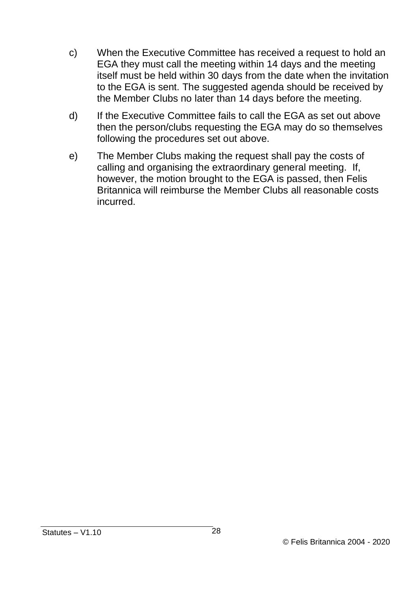- c) When the Executive Committee has received a request to hold an EGA they must call the meeting within 14 days and the meeting itself must be held within 30 days from the date when the invitation to the EGA is sent. The suggested agenda should be received by the Member Clubs no later than 14 days before the meeting.
- d) If the Executive Committee fails to call the EGA as set out above then the person/clubs requesting the EGA may do so themselves following the procedures set out above.
- e) The Member Clubs making the request shall pay the costs of calling and organising the extraordinary general meeting. If, however, the motion brought to the EGA is passed, then Felis Britannica will reimburse the Member Clubs all reasonable costs incurred.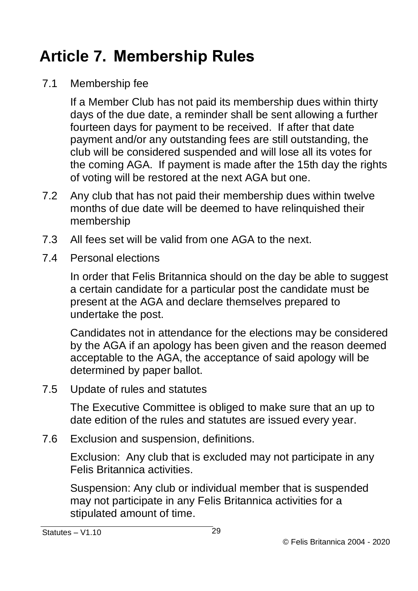### <span id="page-28-0"></span>**Article 7. Membership Rules**

7.1 Membership fee

If a Member Club has not paid its membership dues within thirty days of the due date, a reminder shall be sent allowing a further fourteen days for payment to be received. If after that date payment and/or any outstanding fees are still outstanding, the club will be considered suspended and will lose all its votes for the coming AGA. If payment is made after the 15th day the rights of voting will be restored at the next AGA but one.

- 7.2 Any club that has not paid their membership dues within twelve months of due date will be deemed to have relinguished their membership
- 7.3 All fees set will be valid from one AGA to the next.
- 7.4 Personal elections

In order that Felis Britannica should on the day be able to suggest a certain candidate for a particular post the candidate must be present at the AGA and declare themselves prepared to undertake the post.

Candidates not in attendance for the elections may be considered by the AGA if an apology has been given and the reason deemed acceptable to the AGA, the acceptance of said apology will be determined by paper ballot.

7.5 Update of rules and statutes

The Executive Committee is obliged to make sure that an up to date edition of the rules and statutes are issued every year.

7.6 Exclusion and suspension, definitions.

Exclusion: Any club that is excluded may not participate in any Felis Britannica activities.

Suspension: Any club or individual member that is suspended may not participate in any Felis Britannica activities for a stipulated amount of time.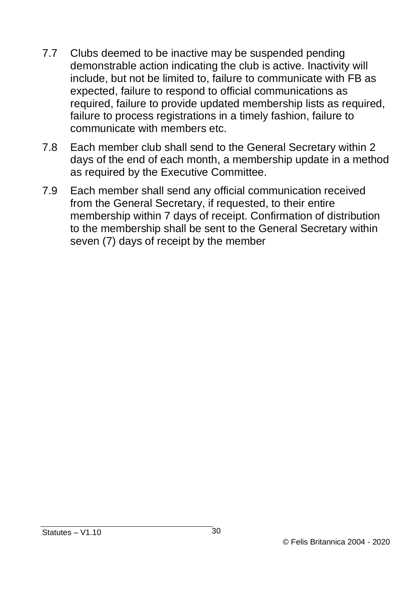- 7.7 Clubs deemed to be inactive may be suspended pending demonstrable action indicating the club is active. Inactivity will include, but not be limited to, failure to communicate with FB as expected, failure to respond to official communications as required, failure to provide updated membership lists as required, failure to process registrations in a timely fashion, failure to communicate with members etc.
- 7.8 Each member club shall send to the General Secretary within 2 days of the end of each month, a membership update in a method as required by the Executive Committee.
- 7.9 Each member shall send any official communication received from the General Secretary, if requested, to their entire membership within 7 days of receipt. Confirmation of distribution to the membership shall be sent to the General Secretary within seven (7) days of receipt by the member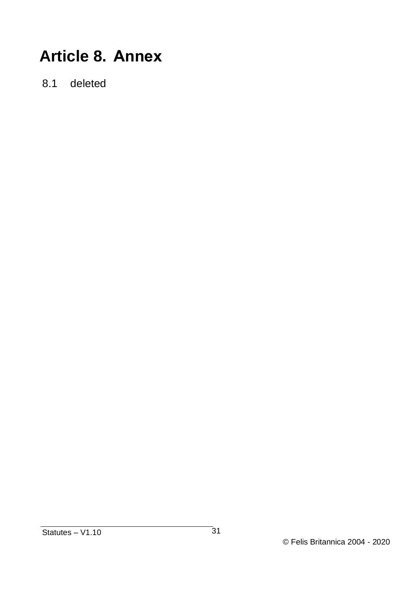#### <span id="page-30-0"></span>**Article 8. Annex**

8.1 deleted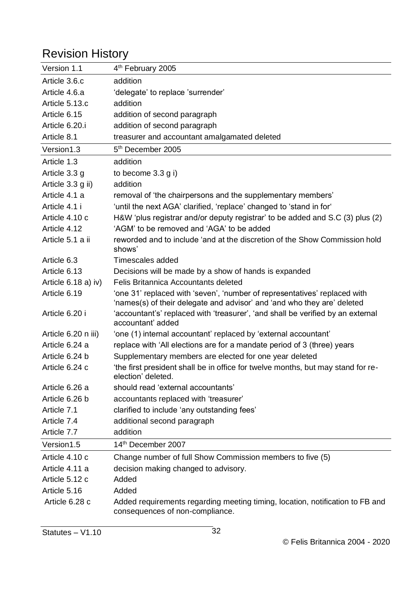#### Revision History

| Version 1.1           | 4 <sup>th</sup> February 2005                                                                                                                        |
|-----------------------|------------------------------------------------------------------------------------------------------------------------------------------------------|
| Article 3.6.c         | addition                                                                                                                                             |
| Article 4.6.a         | 'delegate' to replace 'surrender'                                                                                                                    |
| Article 5.13.c        | addition                                                                                                                                             |
| Article 6.15          | addition of second paragraph                                                                                                                         |
| Article 6.20.i        | addition of second paragraph                                                                                                                         |
| Article 8.1           | treasurer and accountant amalgamated deleted                                                                                                         |
| Version1.3            | 5 <sup>th</sup> December 2005                                                                                                                        |
| Article 1.3           | addition                                                                                                                                             |
| Article 3.3 g         | to become 3.3 g i)                                                                                                                                   |
| Article 3.3 g ii)     | addition                                                                                                                                             |
| Article 4.1 a         | removal of 'the chairpersons and the supplementary members'                                                                                          |
| Article 4.1 i         | 'until the next AGA' clarified, 'replace' changed to 'stand in for'                                                                                  |
| Article 4.10 c        | H&W 'plus registrar and/or deputy registrar' to be added and S.C (3) plus (2)                                                                        |
| Article 4.12          | 'AGM' to be removed and 'AGA' to be added                                                                                                            |
| Article 5.1 a ii      | reworded and to include 'and at the discretion of the Show Commission hold<br>shows'                                                                 |
| Article 6.3           | Timescales added                                                                                                                                     |
| Article 6.13          | Decisions will be made by a show of hands is expanded                                                                                                |
| Article $6.18$ a) iv) | Felis Britannica Accountants deleted                                                                                                                 |
| Article 6.19          | 'one 31' replaced with 'seven', 'number of representatives' replaced with<br>'names(s) of their delegate and advisor' and 'and who they are' deleted |
| Article 6.20 i        | 'accountant's' replaced with 'treasurer', 'and shall be verified by an external<br>accountant' added                                                 |
| Article 6.20 n iii)   | 'one (1) internal accountant' replaced by 'external accountant'                                                                                      |
| Article 6.24 a        | replace with 'All elections are for a mandate period of 3 (three) years                                                                              |
| Article 6.24 b        | Supplementary members are elected for one year deleted                                                                                               |
| Article 6.24 c        | the first president shall be in office for twelve months, but may stand for re-<br>election' deleted.                                                |
| Article 6.26 a        | should read 'external accountants'                                                                                                                   |
| Article 6.26 b        | accountants replaced with 'treasurer'                                                                                                                |
| Article 7.1           | clarified to include 'any outstanding fees'                                                                                                          |
| Article 7.4           | additional second paragraph                                                                                                                          |
| Article 7.7           | addition                                                                                                                                             |
| Version1.5            | 14 <sup>th</sup> December 2007                                                                                                                       |
| Article 4.10 c        | Change number of full Show Commission members to five (5)                                                                                            |
| Article 4.11 a        | decision making changed to advisory.                                                                                                                 |
| Article 5.12 c        | Added                                                                                                                                                |
| Article 5.16          | Added                                                                                                                                                |
| Article 6.28 c        | Added requirements regarding meeting timing, location, notification to FB and<br>consequences of non-compliance.                                     |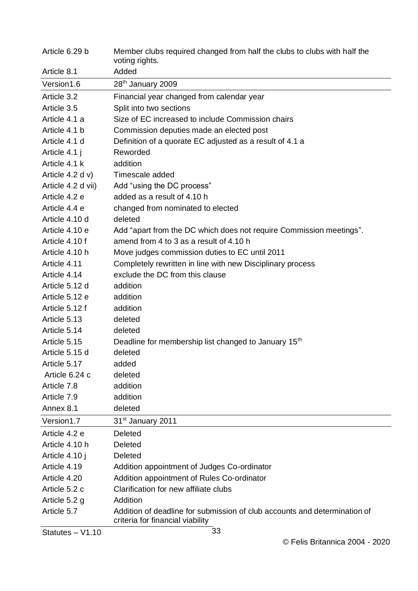| Article 6.29 b     | Member clubs required changed from half the clubs to clubs with half the<br>voting rights.                    |
|--------------------|---------------------------------------------------------------------------------------------------------------|
| Article 8.1        | Added                                                                                                         |
| Version1.6         | 28 <sup>th</sup> January 2009                                                                                 |
| Article 3.2        | Financial year changed from calendar year                                                                     |
| Article 3.5        | Split into two sections                                                                                       |
| Article 4.1 a      | Size of EC increased to include Commission chairs                                                             |
| Article 4.1 b      | Commission deputies made an elected post                                                                      |
| Article 4.1 d      | Definition of a quorate EC adjusted as a result of 4.1 a                                                      |
| Article 4.1 j      | Reworded                                                                                                      |
| Article 4.1 k      | addition                                                                                                      |
| Article $4.2 d v$  | Timescale added                                                                                               |
| Article 4.2 d vii) | Add "using the DC process"                                                                                    |
| Article 4.2 e      | added as a result of 4.10 h                                                                                   |
| Article 4.4 e      | changed from nominated to elected                                                                             |
| Article 4.10 d     | deleted                                                                                                       |
| Article 4.10 e     | Add "apart from the DC which does not require Commission meetings".                                           |
| Article 4.10 f     | amend from 4 to 3 as a result of 4.10 h                                                                       |
| Article 4.10 h     | Move judges commission duties to EC until 2011                                                                |
| Article 4.11       | Completely rewritten in line with new Disciplinary process                                                    |
| Article 4.14       | exclude the DC from this clause                                                                               |
| Article 5.12 d     | addition                                                                                                      |
| Article 5.12 e     | addition                                                                                                      |
| Article 5.12 f     | addition                                                                                                      |
| Article 5.13       | deleted                                                                                                       |
| Article 5.14       | deleted                                                                                                       |
| Article 5.15       | Deadline for membership list changed to January 15 <sup>th</sup>                                              |
| Article 5.15 d     | deleted                                                                                                       |
| Article 5.17       | added                                                                                                         |
| Article 6.24 c     | deleted                                                                                                       |
| Article 7.8        | addition                                                                                                      |
| Article 7.9        | addition                                                                                                      |
| Annex 8.1          | deleted                                                                                                       |
| Version1.7         | 31 <sup>st</sup> January 2011                                                                                 |
| Article 4.2 e      | Deleted                                                                                                       |
| Article 4.10 h     | Deleted                                                                                                       |
| Article 4.10 j     | Deleted                                                                                                       |
| Article 4.19       | Addition appointment of Judges Co-ordinator                                                                   |
| Article 4.20       | Addition appointment of Rules Co-ordinator                                                                    |
| Article 5.2 c      | Clarification for new affiliate clubs                                                                         |
| Article 5.2 q      | Addition                                                                                                      |
| Article 5.7        | Addition of deadline for submission of club accounts and determination of<br>criteria for financial viability |

Statutes – V1.10